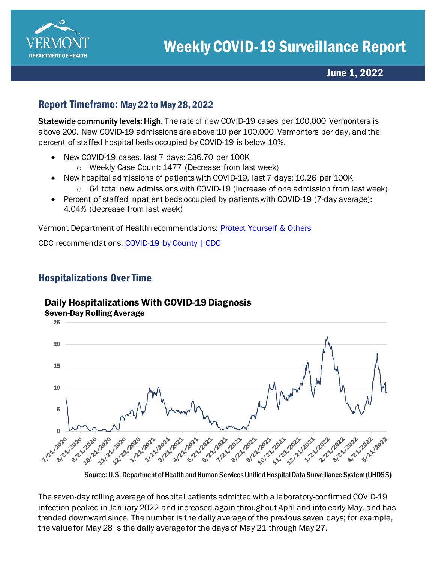

## June 1, 2022

### Report Timeframe: May 22 to May 28, 2022

Statewide community levels: High. The rate of new COVID-19 cases per 100,000 Vermonters is above 200. New COVID-19 admissions are above 10 per 100,000 Vermonters per day, and the percent of staffed hospital beds occupied by COVID-19 is below 10%.

- New COVID-19 cases, last 7 days: 236.70 per 100K
	- o Weekly Case Count: 1477 (Decrease from last week)
- New hospital admissions of patients with COVID-19, last 7 days: 10.26 per 100K
	- $\circ$  64 total new admissions with COVID-19 (increase of one admission from last week)
- Percent of staffed inpatient beds occupied by patients with COVID-19 (7-day average): 4.04% (decrease from last week)

Vermont Department of Health recommendations: [Protect Yourself & Others](https://www.healthvermont.gov/covid-19/protect-yourself-others) 

CDC recommendations: [COVID-19 by County | CDC](https://www.cdc.gov/coronavirus/2019-ncov/your-health/covid-by-county.html)

# Hospitalizations Over Time

### Daily Hospitalizations With COVID-19 Diagnosis



Source: U.S. Department of Health and Human Services Unified Hospital Data Surveillance System (UHDSS)

The seven-day rolling average of hospital patients admitted with a laboratory-confirmed COVID-19 infection peaked in January 2022 and increased again throughout April and into early May, and has trended downward since. The number is the daily average of the previous seven days; for example, the value for May 28 is the daily average for the days of May 21 through May 27.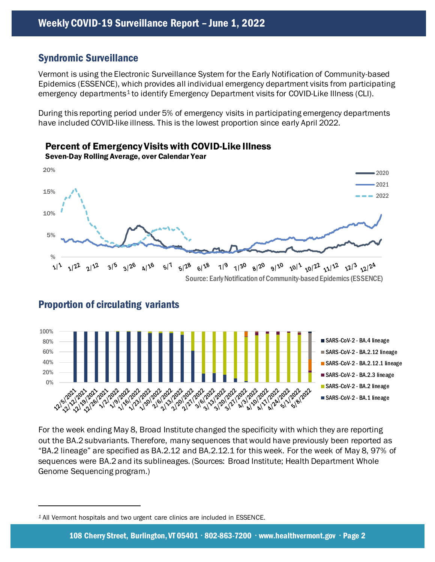Percent of Emergency Visits with COVID-Like Illness

#### Syndromic Surveillance

Vermont is using the Electronic Surveillance System for the Early Notification of Community-based Epidemics (ESSENCE), which provides all individual emergency department visits from participating emergency departments<sup>1</sup> to identify Emergency Department visits for COVID-Like Illness (CLI).

During this reporting period under 5% of emergency visits in participating emergency departments have included COVID-like illness. This is the lowest proportion since early April 2022.



Source: Early Notification of Community-based Epidemics (ESSENCE)



#### Proportion of circulating variants

For the week ending May 8, Broad Institute changed the specificity with which they are reporting out the BA.2 subvariants. Therefore, many sequences that would have previously been reported as "BA.2 lineage" are specified as BA.2.12 and BA.2.12.1 for this week. For the week of May 8, 97% of sequences were BA.2 and its sublineages. (Sources: Broad Institute; Health Department Whole Genome Sequencing program.)

<span id="page-1-0"></span>*<sup>1</sup>* All Vermont hospitals and two urgent care clinics are included in ESSENCE.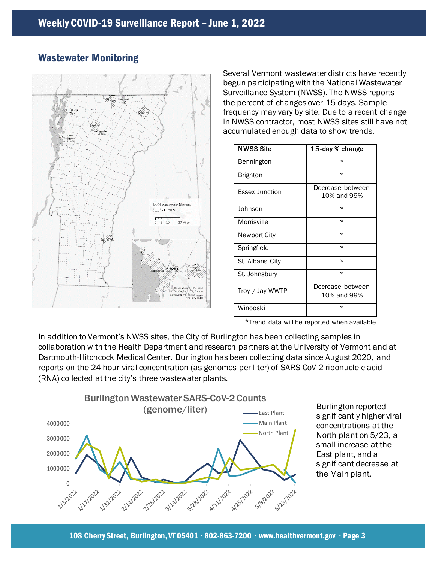

### Wastewater Monitoring

Several Vermont wastewater districts have recently begun participating with the National Wastewater Surveillance System (NWSS). The NWSS reports the percent of changes over 15 days. Sample frequency may vary by site. Due to a recent change in NWSS contractor, most NWSS sites still have not accumulated enough data to show trends.

| <b>NWSS Site</b>      | 15-day % change                 |
|-----------------------|---------------------------------|
| Bennington            | $\star$                         |
| <b>Brighton</b>       | $\star$                         |
| <b>Essex Junction</b> | Decrease between<br>10% and 99% |
| Johnson               | $\star$                         |
| Morrisville           | $\star$                         |
| Newport City          | $\star$                         |
| Springfield           | $\star$                         |
| St. Albans City       | $\star$                         |
| St. Johnsbury         | $\star$                         |
| Troy / Jay WWTP       | Decrease between<br>10% and 99% |
| Winooski              | $\star$                         |

\*Trend data will be reported when available

In addition to Vermont's NWSS sites, the City of Burlington has been collecting samples in collaboration with the Health Department and research partners at the University of Vermont and at Dartmouth-Hitchcock Medical Center. Burlington has been collecting data since August 2020, and reports on the 24-hour viral concentration (as genomes per liter) of SARS-CoV-2 ribonucleic acid (RNA) collected at the city's three wastewater plants.



Burlington reported significantly higher viral concentrations at the North plant on 5/23, a small increase at the East plant, and a significant decrease at the Main plant.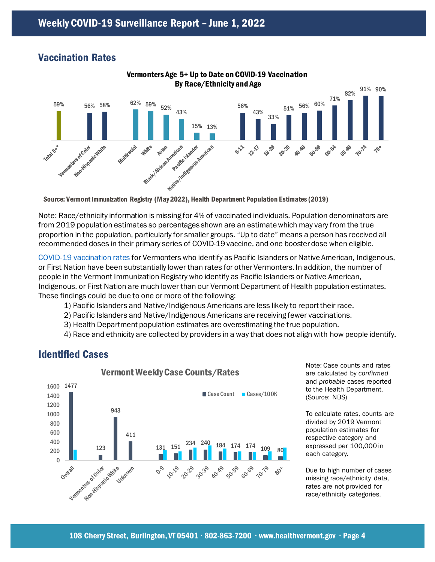#### Vaccination Rates



Vermonters Age 5+ Up to Date on COVID-19 Vaccination

Note: Race/ethnicity information is missing for 4% of vaccinated individuals. Population denominators are from 2019 population estimates so percentages shown are an estimate which may vary from the true proportion in the population, particularly for smaller groups. "Up to date" means a person has received all recommended doses in their primary series of COVID-19 vaccine, and one booster dose when eligible.

[COVID-19 vaccination rates](https://www.healthvermont.gov/covid-19/vaccine/covid-19-vaccine-dashboard) for Vermonters who identify as Pacific Islanders or Native American, Indigenous, or First Nation have been substantially lower than rates for other Vermonters. In addition, the number of people in the Vermont Immunization Registry who identify as Pacific Islanders or Native American, Indigenous, or First Nation are much lower than our Vermont Department of Health population estimates. These findings could be due to one or more of the following:

- 1) Pacific Islanders and Native/Indigenous Americans are less likely to report their race.
- 2) Pacific Islanders and Native/Indigenous Americans are receiving fewer vaccinations.
- 3) Health Department population estimates are overestimating the true population.
- 4) Race and ethnicity are collected by providers in a way that does not align with how people identify.

# Identified Cases



Note: Case counts and rates are calculated by *confirmed* and *probable* cases reported to the Health Department. (Source: NBS)

To calculate rates, counts are divided by 2019 Vermont population estimates for respective category and expressed per 100,000 in each category.

Due to high number of cases missing race/ethnicity data, rates are not provided for race/ethnicity categories.